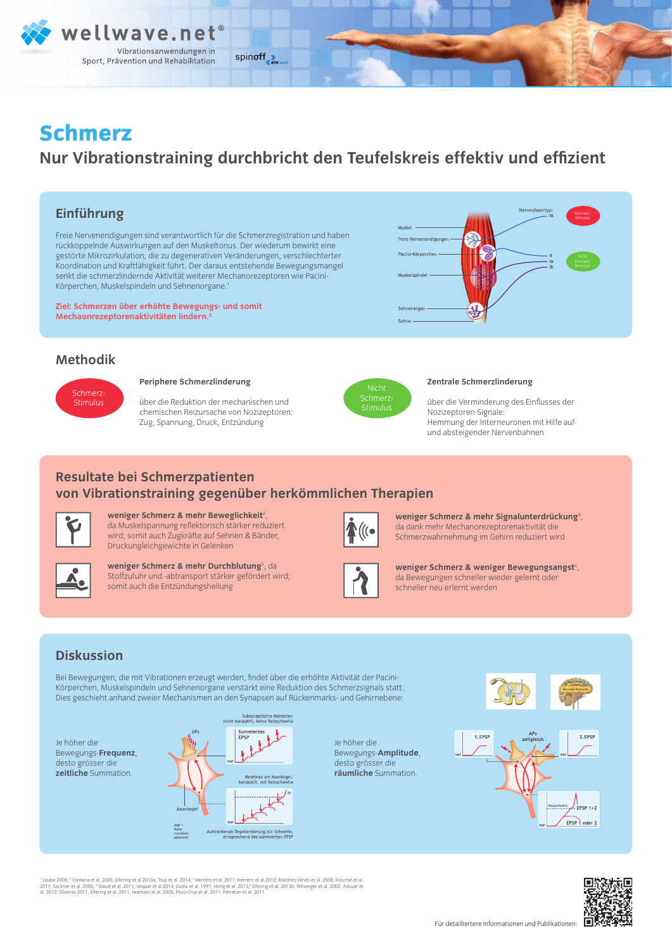

# **Schmerz**

## **Nur Vibrationstraining durchbricht den Teufelskreis effektiv und effizient**

## **Einführung**

Freie Nervenendigungen sind verantwortlich für die Schmerzregistration und haben rückkoppelnde Auswirkungen auf den Muskeltonus. Der wiederum bewirkt eine gestörte Mikrozirkulation, die zu degenerativen Veränderungen, verschlechterter Koordination und Kraftfähigkeit führt. Der daraus entstehende Bewegungsmangel senkt die schmerzlindernde Aktivität weiterer Mechanorezeptoren wie Pacini-Körperchen, Muskelspindeln und Sehnenorgane.1

**Ziel: Schmerzen über erhöhte Bewegungs- und somit Mechaonrezeptorenaktivitäten lindern.2**

## **Methodik**



#### **Periphere Schmerzlinderung**

über die Reduktion der mechanischen und chemischen Reizursache von Nozizeptoren: Zug, Spannung, Druck, Entzündung



freie Nervenendigung Pacini-Körperche

Sehnenorgan

#### **Zentrale Schmerzlinderung**

über die Verminderung des Einflusses der Nozizeptoren-Signale: Hemmung der Interneuronen mit Hilfe aufund absteigender Nervenbahnen

Nervenfaser

## **Resultate bei Schmerzpatienten von Vibrationstraining gegenüber herkömmlichen Therapien**



weniger Schmerz & mehr Beweglichkeit<sup>2</sup>, da Muskelspannung reflektorisch stärker reduziert wird; somit auch Zugkräfte auf Sehnen & Bänder, Druckungleichgewichte in Gelenken



**weniger Schmerz & mehr Durchblutung**<sup>3</sup> , da Stoffzufuhr und -abtransport stärker gefördert wird; somit auch die Entzündungsheilung



weniger Schmerz & mehr Signalunterdrückung<sup>4</sup>, da dank mehr Mechanorezeptorenaktivität die Schmerzwahrnehmung im Gehirn reduziert wird

weniger Schmerz & weniger Bewegungsangst<sup>5</sup>, da Bewegungen schneller wieder gelernt oder schneller neu erlernt werden

## **Diskussion**

Bei Bewegungen, die mit Vibrationen erzeugt werden, findet über die erhöhte Aktivität der Pacini-Körperchen, Muskelspindeln und Sehnenorgane verstärkt eine Reduktion des Schmerzsignals statt. Dies geschieht anhand zweier Mechanismen an den Synapsen auf Rückenmarks- und Gehirnebene:

Je höher die Bewegungs-**Frequenz**, desto grösser die **zeitliche** Summation.



Je höher die Bewegungs-**Amplitude**, desto grösser die **räumliche** Summation.





' Laube 2009; <sup>2</sup> Fontana et al. 2005; Elfering et al 2013a; Tsuji et al. 2014; <sup>3</sup> Herrero et al 2012; Lallamer Hinds et al. 2008; Roschel et al.<br>2011; Sackner et al. 2005; "Staud et al. 2011; Vequar et al 2014; Guieu et